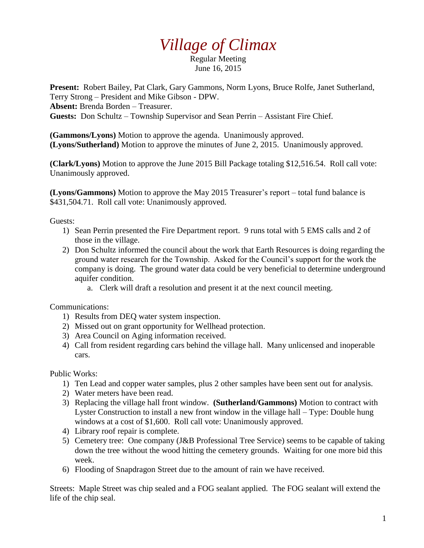## *Village of Climax*

Regular Meeting June 16, 2015

**Present:** Robert Bailey, Pat Clark, Gary Gammons, Norm Lyons, Bruce Rolfe, Janet Sutherland, Terry Strong – President and Mike Gibson - DPW.

**Absent:** Brenda Borden – Treasurer.

**Guests:** Don Schultz – Township Supervisor and Sean Perrin – Assistant Fire Chief.

**(Gammons/Lyons)** Motion to approve the agenda. Unanimously approved. **(Lyons/Sutherland)** Motion to approve the minutes of June 2, 2015. Unanimously approved.

**(Clark/Lyons)** Motion to approve the June 2015 Bill Package totaling \$12,516.54. Roll call vote: Unanimously approved.

**(Lyons/Gammons)** Motion to approve the May 2015 Treasurer's report – total fund balance is \$431,504.71. Roll call vote: Unanimously approved.

Guests:

- 1) Sean Perrin presented the Fire Department report. 9 runs total with 5 EMS calls and 2 of those in the village.
- 2) Don Schultz informed the council about the work that Earth Resources is doing regarding the ground water research for the Township. Asked for the Council's support for the work the company is doing. The ground water data could be very beneficial to determine underground aquifer condition.
	- a. Clerk will draft a resolution and present it at the next council meeting.

Communications:

- 1) Results from DEQ water system inspection.
- 2) Missed out on grant opportunity for Wellhead protection.
- 3) Area Council on Aging information received.
- 4) Call from resident regarding cars behind the village hall. Many unlicensed and inoperable cars.

Public Works:

- 1) Ten Lead and copper water samples, plus 2 other samples have been sent out for analysis.
- 2) Water meters have been read.
- 3) Replacing the village hall front window. **(Sutherland/Gammons)** Motion to contract with Lyster Construction to install a new front window in the village hall – Type: Double hung windows at a cost of \$1,600. Roll call vote: Unanimously approved.
- 4) Library roof repair is complete.
- 5) Cemetery tree: One company (J&B Professional Tree Service) seems to be capable of taking down the tree without the wood hitting the cemetery grounds. Waiting for one more bid this week.
- 6) Flooding of Snapdragon Street due to the amount of rain we have received.

Streets: Maple Street was chip sealed and a FOG sealant applied. The FOG sealant will extend the life of the chip seal.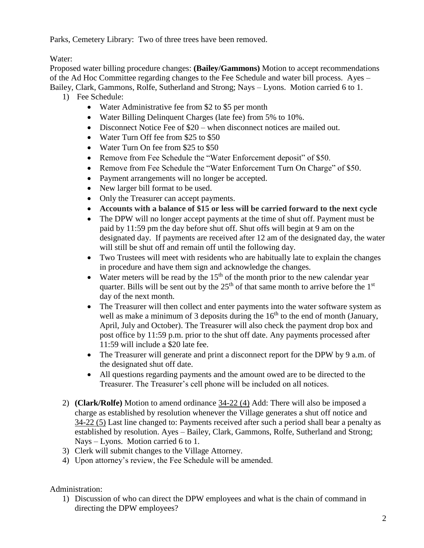Parks, Cemetery Library: Two of three trees have been removed.

Water:

Proposed water billing procedure changes: **(Bailey/Gammons)** Motion to accept recommendations of the Ad Hoc Committee regarding changes to the Fee Schedule and water bill process. Ayes – Bailey, Clark, Gammons, Rolfe, Sutherland and Strong; Nays – Lyons. Motion carried 6 to 1.

- 1) Fee Schedule:
	- Water Administrative fee from \$2 to \$5 per month
	- Water Billing Delinquent Charges (late fee) from 5% to 10%.
	- Disconnect Notice Fee of \$20 when disconnect notices are mailed out.
	- Water Turn Off fee from \$25 to \$50
	- Water Turn On fee from \$25 to \$50
	- Remove from Fee Schedule the "Water Enforcement deposit" of \$50.
	- Remove from Fee Schedule the "Water Enforcement Turn On Charge" of \$50.
	- Payment arrangements will no longer be accepted.
	- New larger bill format to be used.
	- Only the Treasurer can accept payments.
	- **Accounts with a balance of \$15 or less will be carried forward to the next cycle**
	- The DPW will no longer accept payments at the time of shut off. Payment must be paid by 11:59 pm the day before shut off. Shut offs will begin at 9 am on the designated day. If payments are received after 12 am of the designated day, the water will still be shut off and remain off until the following day.
	- Two Trustees will meet with residents who are habitually late to explain the changes in procedure and have them sign and acknowledge the changes.
	- Water meters will be read by the  $15<sup>th</sup>$  of the month prior to the new calendar year quarter. Bills will be sent out by the  $25<sup>th</sup>$  of that same month to arrive before the  $1<sup>st</sup>$ day of the next month.
	- The Treasurer will then collect and enter payments into the water software system as well as make a minimum of 3 deposits during the  $16<sup>th</sup>$  to the end of month (January, April, July and October). The Treasurer will also check the payment drop box and post office by 11:59 p.m. prior to the shut off date. Any payments processed after 11:59 will include a \$20 late fee.
	- The Treasurer will generate and print a disconnect report for the DPW by 9 a.m. of the designated shut off date.
	- All questions regarding payments and the amount owed are to be directed to the Treasurer. The Treasurer's cell phone will be included on all notices.
- 2) **(Clark/Rolfe)** Motion to amend ordinance 34-22 (4) Add: There will also be imposed a charge as established by resolution whenever the Village generates a shut off notice and 34-22 (5) Last line changed to: Payments received after such a period shall bear a penalty as established by resolution. Ayes – Bailey, Clark, Gammons, Rolfe, Sutherland and Strong; Nays – Lyons. Motion carried 6 to 1.
- 3) Clerk will submit changes to the Village Attorney.
- 4) Upon attorney's review, the Fee Schedule will be amended.

Administration:

1) Discussion of who can direct the DPW employees and what is the chain of command in directing the DPW employees?